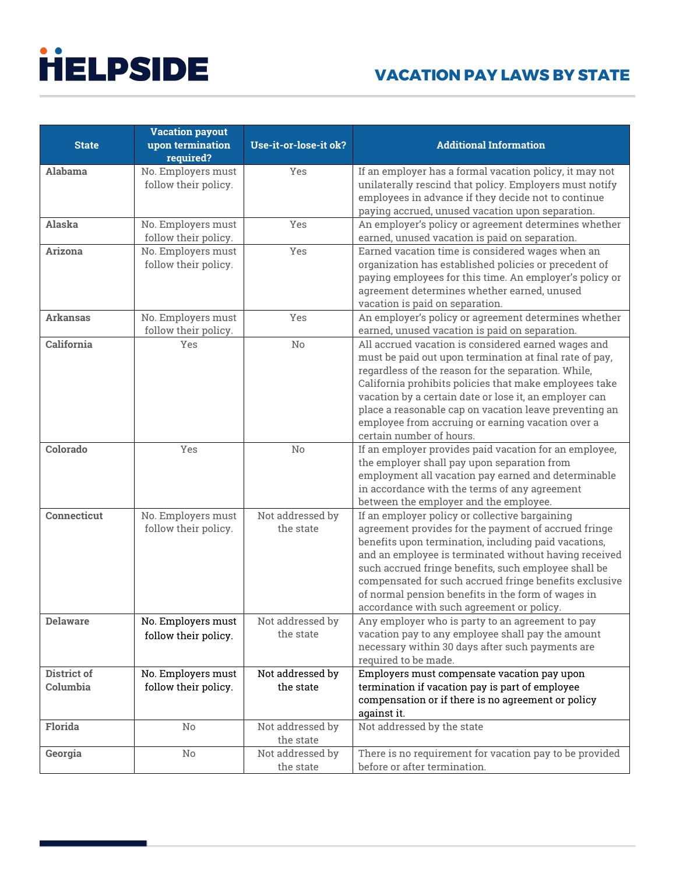|                 | <b>Vacation payout</b>                     |                       |                                                                                                               |
|-----------------|--------------------------------------------|-----------------------|---------------------------------------------------------------------------------------------------------------|
| <b>State</b>    | upon termination                           | Use-it-or-lose-it ok? | <b>Additional Information</b>                                                                                 |
|                 | required?                                  |                       |                                                                                                               |
| Alabama         | No. Employers must                         | Yes                   | If an employer has a formal vacation policy, it may not                                                       |
|                 | follow their policy.                       |                       | unilaterally rescind that policy. Employers must notify                                                       |
|                 |                                            |                       | employees in advance if they decide not to continue                                                           |
|                 |                                            |                       | paying accrued, unused vacation upon separation.                                                              |
| Alaska          | No. Employers must<br>follow their policy. | Yes                   | An employer's policy or agreement determines whether<br>earned, unused vacation is paid on separation.        |
| <b>Arizona</b>  | No. Employers must                         | Yes                   | Earned vacation time is considered wages when an                                                              |
|                 | follow their policy.                       |                       | organization has established policies or precedent of                                                         |
|                 |                                            |                       | paying employees for this time. An employer's policy or                                                       |
|                 |                                            |                       | agreement determines whether earned, unused                                                                   |
|                 |                                            |                       | vacation is paid on separation.                                                                               |
| <b>Arkansas</b> | No. Employers must                         | Yes                   | An employer's policy or agreement determines whether                                                          |
|                 | follow their policy.                       |                       | earned, unused vacation is paid on separation.                                                                |
| California      | Yes                                        | No                    | All accrued vacation is considered earned wages and                                                           |
|                 |                                            |                       | must be paid out upon termination at final rate of pay,                                                       |
|                 |                                            |                       | regardless of the reason for the separation. While,                                                           |
|                 |                                            |                       | California prohibits policies that make employees take                                                        |
|                 |                                            |                       | vacation by a certain date or lose it, an employer can                                                        |
|                 |                                            |                       | place a reasonable cap on vacation leave preventing an<br>employee from accruing or earning vacation over a   |
|                 |                                            |                       | certain number of hours.                                                                                      |
| Colorado        | Yes                                        | No                    | If an employer provides paid vacation for an employee,                                                        |
|                 |                                            |                       | the employer shall pay upon separation from                                                                   |
|                 |                                            |                       | employment all vacation pay earned and determinable                                                           |
|                 |                                            |                       | in accordance with the terms of any agreement                                                                 |
|                 |                                            |                       | between the employer and the employee.                                                                        |
| Connecticut     | No. Employers must                         | Not addressed by      | If an employer policy or collective bargaining                                                                |
|                 | follow their policy.                       | the state             | agreement provides for the payment of accrued fringe                                                          |
|                 |                                            |                       | benefits upon termination, including paid vacations,                                                          |
|                 |                                            |                       | and an employee is terminated without having received<br>such accrued fringe benefits, such employee shall be |
|                 |                                            |                       | compensated for such accrued fringe benefits exclusive                                                        |
|                 |                                            |                       | of normal pension benefits in the form of wages in                                                            |
|                 |                                            |                       | accordance with such agreement or policy.                                                                     |
| <b>Delaware</b> | No. Employers must                         | Not addressed by      | Any employer who is party to an agreement to pay                                                              |
|                 | follow their policy.                       | the state             | vacation pay to any employee shall pay the amount                                                             |
|                 |                                            |                       | necessary within 30 days after such payments are                                                              |
|                 |                                            |                       | required to be made.                                                                                          |
| District of     | No. Employers must                         | Not addressed by      | Employers must compensate vacation pay upon                                                                   |
| Columbia        | follow their policy.                       | the state             | termination if vacation pay is part of employee                                                               |
|                 |                                            |                       | compensation or if there is no agreement or policy                                                            |
| Florida         |                                            | Not addressed by      | against it.<br>Not addressed by the state                                                                     |
|                 | No                                         | the state             |                                                                                                               |
| Georgia         | No                                         | Not addressed by      | There is no requirement for vacation pay to be provided                                                       |
|                 |                                            | the state             | before or after termination.                                                                                  |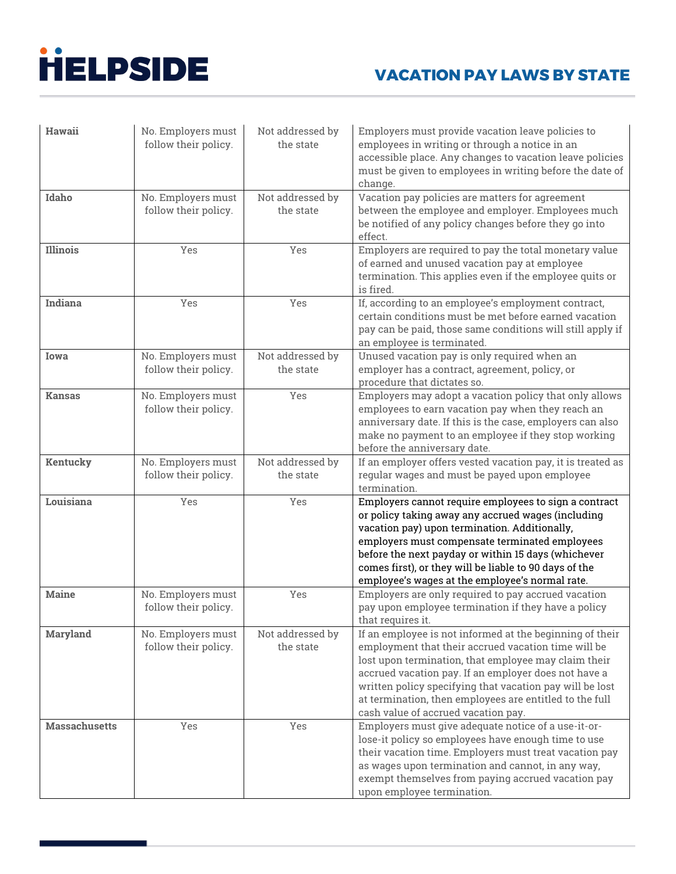| Hawaii               | No. Employers must<br>follow their policy. | Not addressed by<br>the state | Employers must provide vacation leave policies to<br>employees in writing or through a notice in an<br>accessible place. Any changes to vacation leave policies<br>must be given to employees in writing before the date of<br>change.                                                                                                                                                        |
|----------------------|--------------------------------------------|-------------------------------|-----------------------------------------------------------------------------------------------------------------------------------------------------------------------------------------------------------------------------------------------------------------------------------------------------------------------------------------------------------------------------------------------|
| Idaho                | No. Employers must<br>follow their policy. | Not addressed by<br>the state | Vacation pay policies are matters for agreement<br>between the employee and employer. Employees much<br>be notified of any policy changes before they go into<br>effect.                                                                                                                                                                                                                      |
| Illinois             | Yes                                        | Yes                           | Employers are required to pay the total monetary value<br>of earned and unused vacation pay at employee<br>termination. This applies even if the employee quits or<br>is fired.                                                                                                                                                                                                               |
| Indiana              | Yes                                        | Yes                           | If, according to an employee's employment contract,<br>certain conditions must be met before earned vacation<br>pay can be paid, those same conditions will still apply if<br>an employee is terminated.                                                                                                                                                                                      |
| Iowa                 | No. Employers must<br>follow their policy. | Not addressed by<br>the state | Unused vacation pay is only required when an<br>employer has a contract, agreement, policy, or<br>procedure that dictates so.                                                                                                                                                                                                                                                                 |
| <b>Kansas</b>        | No. Employers must<br>follow their policy. | Yes                           | Employers may adopt a vacation policy that only allows<br>employees to earn vacation pay when they reach an<br>anniversary date. If this is the case, employers can also<br>make no payment to an employee if they stop working<br>before the anniversary date.                                                                                                                               |
| Kentucky             | No. Employers must<br>follow their policy. | Not addressed by<br>the state | If an employer offers vested vacation pay, it is treated as<br>regular wages and must be payed upon employee<br>termination.                                                                                                                                                                                                                                                                  |
| Louisiana            | Yes                                        | Yes                           | Employers cannot require employees to sign a contract<br>or policy taking away any accrued wages (including<br>vacation pay) upon termination. Additionally,<br>employers must compensate terminated employees<br>before the next payday or within 15 days (whichever<br>comes first), or they will be liable to 90 days of the<br>employee's wages at the employee's normal rate.            |
| <b>Maine</b>         | No. Employers must<br>follow their policy. | Yes                           | Employers are only required to pay accrued vacation<br>pay upon employee termination if they have a policy<br>that requires it.                                                                                                                                                                                                                                                               |
| <b>Maryland</b>      | No. Employers must<br>follow their policy. | Not addressed by<br>the state | If an employee is not informed at the beginning of their<br>employment that their accrued vacation time will be<br>lost upon termination, that employee may claim their<br>accrued vacation pay. If an employer does not have a<br>written policy specifying that vacation pay will be lost<br>at termination, then employees are entitled to the full<br>cash value of accrued vacation pay. |
| <b>Massachusetts</b> | Yes                                        | Yes                           | Employers must give adequate notice of a use-it-or-<br>lose-it policy so employees have enough time to use<br>their vacation time. Employers must treat vacation pay<br>as wages upon termination and cannot, in any way,<br>exempt themselves from paying accrued vacation pay<br>upon employee termination.                                                                                 |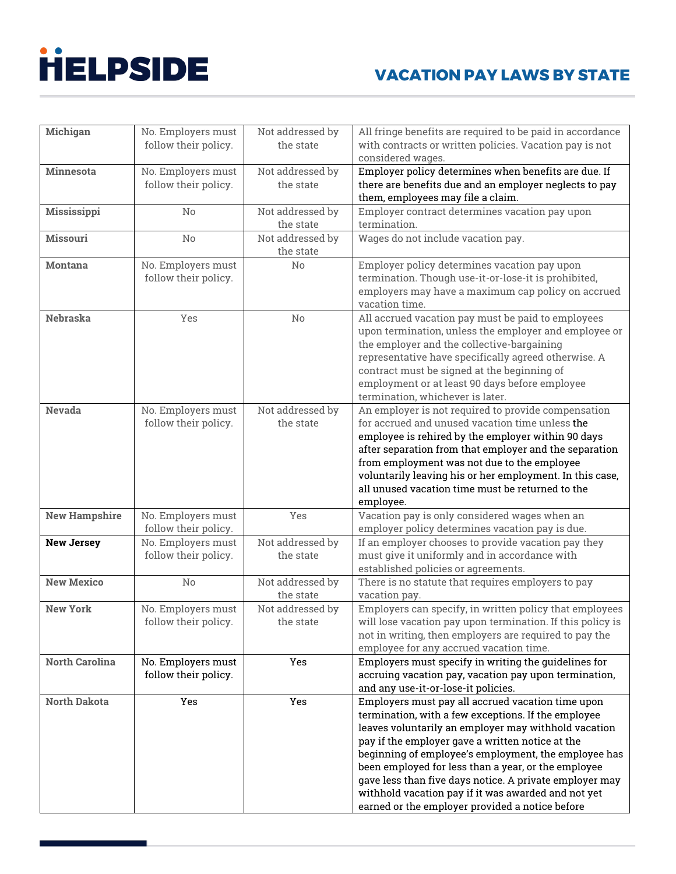| <b>Michigan</b>       | No. Employers must   | Not addressed by | All fringe benefits are required to be paid in accordance  |
|-----------------------|----------------------|------------------|------------------------------------------------------------|
|                       | follow their policy. | the state        | with contracts or written policies. Vacation pay is not    |
|                       |                      |                  | considered wages.                                          |
| <b>Minnesota</b>      | No. Employers must   | Not addressed by | Employer policy determines when benefits are due. If       |
|                       | follow their policy. | the state        | there are benefits due and an employer neglects to pay     |
|                       |                      |                  | them, employees may file a claim.                          |
| Mississippi           | No                   | Not addressed by | Employer contract determines vacation pay upon             |
|                       |                      | the state        | termination.                                               |
| <b>Missouri</b>       | No                   | Not addressed by | Wages do not include vacation pay.                         |
|                       |                      | the state        |                                                            |
| <b>Montana</b>        | No. Employers must   | No               | Employer policy determines vacation pay upon               |
|                       | follow their policy. |                  | termination. Though use-it-or-lose-it is prohibited,       |
|                       |                      |                  | employers may have a maximum cap policy on accrued         |
|                       |                      |                  | vacation time.                                             |
| <b>Nebraska</b>       | Yes                  | No               | All accrued vacation pay must be paid to employees         |
|                       |                      |                  | upon termination, unless the employer and employee or      |
|                       |                      |                  | the employer and the collective-bargaining                 |
|                       |                      |                  | representative have specifically agreed otherwise. A       |
|                       |                      |                  | contract must be signed at the beginning of                |
|                       |                      |                  | employment or at least 90 days before employee             |
|                       |                      |                  | termination, whichever is later.                           |
| <b>Nevada</b>         | No. Employers must   | Not addressed by | An employer is not required to provide compensation        |
|                       | follow their policy. | the state        | for accrued and unused vacation time unless the            |
|                       |                      |                  | employee is rehired by the employer within 90 days         |
|                       |                      |                  | after separation from that employer and the separation     |
|                       |                      |                  | from employment was not due to the employee                |
|                       |                      |                  | voluntarily leaving his or her employment. In this case,   |
|                       |                      |                  | all unused vacation time must be returned to the           |
|                       |                      |                  | employee.                                                  |
| <b>New Hampshire</b>  | No. Employers must   | Yes              | Vacation pay is only considered wages when an              |
|                       | follow their policy. |                  | employer policy determines vacation pay is due.            |
| <b>New Jersey</b>     | No. Employers must   | Not addressed by | If an employer chooses to provide vacation pay they        |
|                       | follow their policy. | the state        | must give it uniformly and in accordance with              |
|                       |                      |                  | established policies or agreements.                        |
| <b>New Mexico</b>     | No                   | Not addressed by | There is no statute that requires employers to pay         |
|                       |                      | the state        | vacation pay.                                              |
| <b>New York</b>       | No. Employers must   | Not addressed by | Employers can specify, in written policy that employees    |
|                       | follow their policy. | the state        | will lose vacation pay upon termination. If this policy is |
|                       |                      |                  | not in writing, then employers are required to pay the     |
|                       |                      |                  | employee for any accrued vacation time.                    |
| <b>North Carolina</b> | No. Employers must   | Yes              | Employers must specify in writing the guidelines for       |
|                       | follow their policy. |                  | accruing vacation pay, vacation pay upon termination,      |
|                       |                      |                  | and any use-it-or-lose-it policies.                        |
| <b>North Dakota</b>   | Yes                  | Yes              | Employers must pay all accrued vacation time upon          |
|                       |                      |                  | termination, with a few exceptions. If the employee        |
|                       |                      |                  | leaves voluntarily an employer may withhold vacation       |
|                       |                      |                  | pay if the employer gave a written notice at the           |
|                       |                      |                  | beginning of employee's employment, the employee has       |
|                       |                      |                  | been employed for less than a year, or the employee        |
|                       |                      |                  | gave less than five days notice. A private employer may    |
|                       |                      |                  | withhold vacation pay if it was awarded and not yet        |
|                       |                      |                  | earned or the employer provided a notice before            |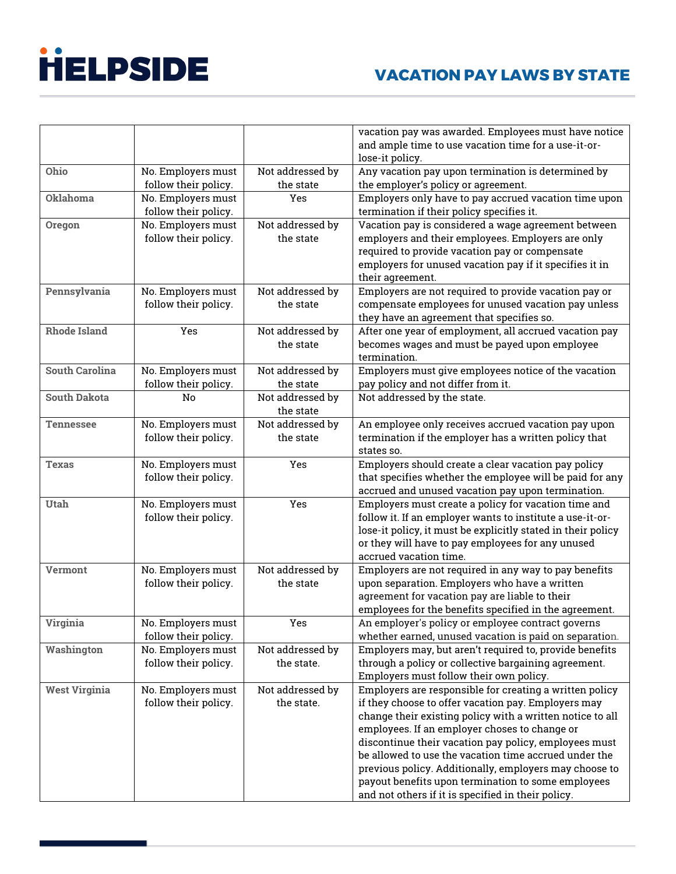| lose-it policy.<br>Ohio<br>Not addressed by<br>Any vacation pay upon termination is determined by<br>No. Employers must<br>the state<br>follow their policy.<br>the employer's policy or agreement.<br>Oklahoma<br>No. Employers must<br>Employers only have to pay accrued vacation time upon<br>Yes<br>follow their policy.<br>termination if their policy specifies it.<br>No. Employers must<br>Not addressed by<br>Vacation pay is considered a wage agreement between<br>Oregon<br>follow their policy.<br>employers and their employees. Employers are only<br>the state<br>required to provide vacation pay or compensate<br>employers for unused vacation pay if it specifies it in<br>their agreement.<br>Not addressed by<br>Pennsylvania<br>No. Employers must<br>Employers are not required to provide vacation pay or<br>follow their policy.<br>the state<br>compensate employees for unused vacation pay unless<br>they have an agreement that specifies so.<br>Not addressed by<br>After one year of employment, all accrued vacation pay<br><b>Rhode Island</b><br>Yes<br>the state<br>becomes wages and must be payed upon employee<br>termination.<br><b>South Carolina</b><br>Not addressed by<br>No. Employers must<br>Employers must give employees notice of the vacation<br>follow their policy.<br>the state<br>pay policy and not differ from it.<br><b>South Dakota</b><br>Not addressed by<br>Not addressed by the state.<br>No<br>the state<br>Not addressed by<br>No. Employers must<br>An employee only receives accrued vacation pay upon<br><b>Tennessee</b><br>follow their policy.<br>termination if the employer has a written policy that<br>the state<br>states so.<br>Employers should create a clear vacation pay policy<br>No. Employers must<br>Yes<br>Texas<br>follow their policy.<br>that specifies whether the employee will be paid for any<br>accrued and unused vacation pay upon termination.<br>Yes<br>Employers must create a policy for vacation time and<br><b>Utah</b><br>No. Employers must<br>follow their policy.<br>follow it. If an employer wants to institute a use-it-or-<br>lose-it policy, it must be explicitly stated in their policy<br>or they will have to pay employees for any unused<br>accrued vacation time.<br>Not addressed by<br>Employers are not required in any way to pay benefits<br>No. Employers must<br><b>Vermont</b><br>follow their policy.<br>the state<br>upon separation. Employers who have a written<br>agreement for vacation pay are liable to their<br>employees for the benefits specified in the agreement.<br>No. Employers must<br>An employer's policy or employee contract governs<br>Yes<br>Virginia<br>follow their policy.<br>whether earned, unused vacation is paid on separation.<br>Not addressed by<br>Employers may, but aren't required to, provide benefits<br>No. Employers must<br>Washington<br>follow their policy.<br>through a policy or collective bargaining agreement.<br>the state.<br>Employers must follow their own policy.<br><b>West Virginia</b><br>Not addressed by<br>Employers are responsible for creating a written policy<br>No. Employers must<br>follow their policy.<br>the state.<br>if they choose to offer vacation pay. Employers may<br>change their existing policy with a written notice to all |
|----------------------------------------------------------------------------------------------------------------------------------------------------------------------------------------------------------------------------------------------------------------------------------------------------------------------------------------------------------------------------------------------------------------------------------------------------------------------------------------------------------------------------------------------------------------------------------------------------------------------------------------------------------------------------------------------------------------------------------------------------------------------------------------------------------------------------------------------------------------------------------------------------------------------------------------------------------------------------------------------------------------------------------------------------------------------------------------------------------------------------------------------------------------------------------------------------------------------------------------------------------------------------------------------------------------------------------------------------------------------------------------------------------------------------------------------------------------------------------------------------------------------------------------------------------------------------------------------------------------------------------------------------------------------------------------------------------------------------------------------------------------------------------------------------------------------------------------------------------------------------------------------------------------------------------------------------------------------------------------------------------------------------------------------------------------------------------------------------------------------------------------------------------------------------------------------------------------------------------------------------------------------------------------------------------------------------------------------------------------------------------------------------------------------------------------------------------------------------------------------------------------------------------------------------------------------------------------------------------------------------------------------------------------------------------------------------------------------------------------------------------------------------------------------------------------------------------------------------------------------------------------------------------------------------------------------------------------------------------------------------------------------------------------------------------------------------------------------------------------------------------------------------------------------------------------------------------------------------------------------------------------------------------------------------------------------------------------------------|
|                                                                                                                                                                                                                                                                                                                                                                                                                                                                                                                                                                                                                                                                                                                                                                                                                                                                                                                                                                                                                                                                                                                                                                                                                                                                                                                                                                                                                                                                                                                                                                                                                                                                                                                                                                                                                                                                                                                                                                                                                                                                                                                                                                                                                                                                                                                                                                                                                                                                                                                                                                                                                                                                                                                                                                                                                                                                                                                                                                                                                                                                                                                                                                                                                                                                                                                                                    |
|                                                                                                                                                                                                                                                                                                                                                                                                                                                                                                                                                                                                                                                                                                                                                                                                                                                                                                                                                                                                                                                                                                                                                                                                                                                                                                                                                                                                                                                                                                                                                                                                                                                                                                                                                                                                                                                                                                                                                                                                                                                                                                                                                                                                                                                                                                                                                                                                                                                                                                                                                                                                                                                                                                                                                                                                                                                                                                                                                                                                                                                                                                                                                                                                                                                                                                                                                    |
|                                                                                                                                                                                                                                                                                                                                                                                                                                                                                                                                                                                                                                                                                                                                                                                                                                                                                                                                                                                                                                                                                                                                                                                                                                                                                                                                                                                                                                                                                                                                                                                                                                                                                                                                                                                                                                                                                                                                                                                                                                                                                                                                                                                                                                                                                                                                                                                                                                                                                                                                                                                                                                                                                                                                                                                                                                                                                                                                                                                                                                                                                                                                                                                                                                                                                                                                                    |
|                                                                                                                                                                                                                                                                                                                                                                                                                                                                                                                                                                                                                                                                                                                                                                                                                                                                                                                                                                                                                                                                                                                                                                                                                                                                                                                                                                                                                                                                                                                                                                                                                                                                                                                                                                                                                                                                                                                                                                                                                                                                                                                                                                                                                                                                                                                                                                                                                                                                                                                                                                                                                                                                                                                                                                                                                                                                                                                                                                                                                                                                                                                                                                                                                                                                                                                                                    |
|                                                                                                                                                                                                                                                                                                                                                                                                                                                                                                                                                                                                                                                                                                                                                                                                                                                                                                                                                                                                                                                                                                                                                                                                                                                                                                                                                                                                                                                                                                                                                                                                                                                                                                                                                                                                                                                                                                                                                                                                                                                                                                                                                                                                                                                                                                                                                                                                                                                                                                                                                                                                                                                                                                                                                                                                                                                                                                                                                                                                                                                                                                                                                                                                                                                                                                                                                    |
|                                                                                                                                                                                                                                                                                                                                                                                                                                                                                                                                                                                                                                                                                                                                                                                                                                                                                                                                                                                                                                                                                                                                                                                                                                                                                                                                                                                                                                                                                                                                                                                                                                                                                                                                                                                                                                                                                                                                                                                                                                                                                                                                                                                                                                                                                                                                                                                                                                                                                                                                                                                                                                                                                                                                                                                                                                                                                                                                                                                                                                                                                                                                                                                                                                                                                                                                                    |
|                                                                                                                                                                                                                                                                                                                                                                                                                                                                                                                                                                                                                                                                                                                                                                                                                                                                                                                                                                                                                                                                                                                                                                                                                                                                                                                                                                                                                                                                                                                                                                                                                                                                                                                                                                                                                                                                                                                                                                                                                                                                                                                                                                                                                                                                                                                                                                                                                                                                                                                                                                                                                                                                                                                                                                                                                                                                                                                                                                                                                                                                                                                                                                                                                                                                                                                                                    |
|                                                                                                                                                                                                                                                                                                                                                                                                                                                                                                                                                                                                                                                                                                                                                                                                                                                                                                                                                                                                                                                                                                                                                                                                                                                                                                                                                                                                                                                                                                                                                                                                                                                                                                                                                                                                                                                                                                                                                                                                                                                                                                                                                                                                                                                                                                                                                                                                                                                                                                                                                                                                                                                                                                                                                                                                                                                                                                                                                                                                                                                                                                                                                                                                                                                                                                                                                    |
|                                                                                                                                                                                                                                                                                                                                                                                                                                                                                                                                                                                                                                                                                                                                                                                                                                                                                                                                                                                                                                                                                                                                                                                                                                                                                                                                                                                                                                                                                                                                                                                                                                                                                                                                                                                                                                                                                                                                                                                                                                                                                                                                                                                                                                                                                                                                                                                                                                                                                                                                                                                                                                                                                                                                                                                                                                                                                                                                                                                                                                                                                                                                                                                                                                                                                                                                                    |
|                                                                                                                                                                                                                                                                                                                                                                                                                                                                                                                                                                                                                                                                                                                                                                                                                                                                                                                                                                                                                                                                                                                                                                                                                                                                                                                                                                                                                                                                                                                                                                                                                                                                                                                                                                                                                                                                                                                                                                                                                                                                                                                                                                                                                                                                                                                                                                                                                                                                                                                                                                                                                                                                                                                                                                                                                                                                                                                                                                                                                                                                                                                                                                                                                                                                                                                                                    |
|                                                                                                                                                                                                                                                                                                                                                                                                                                                                                                                                                                                                                                                                                                                                                                                                                                                                                                                                                                                                                                                                                                                                                                                                                                                                                                                                                                                                                                                                                                                                                                                                                                                                                                                                                                                                                                                                                                                                                                                                                                                                                                                                                                                                                                                                                                                                                                                                                                                                                                                                                                                                                                                                                                                                                                                                                                                                                                                                                                                                                                                                                                                                                                                                                                                                                                                                                    |
|                                                                                                                                                                                                                                                                                                                                                                                                                                                                                                                                                                                                                                                                                                                                                                                                                                                                                                                                                                                                                                                                                                                                                                                                                                                                                                                                                                                                                                                                                                                                                                                                                                                                                                                                                                                                                                                                                                                                                                                                                                                                                                                                                                                                                                                                                                                                                                                                                                                                                                                                                                                                                                                                                                                                                                                                                                                                                                                                                                                                                                                                                                                                                                                                                                                                                                                                                    |
|                                                                                                                                                                                                                                                                                                                                                                                                                                                                                                                                                                                                                                                                                                                                                                                                                                                                                                                                                                                                                                                                                                                                                                                                                                                                                                                                                                                                                                                                                                                                                                                                                                                                                                                                                                                                                                                                                                                                                                                                                                                                                                                                                                                                                                                                                                                                                                                                                                                                                                                                                                                                                                                                                                                                                                                                                                                                                                                                                                                                                                                                                                                                                                                                                                                                                                                                                    |
|                                                                                                                                                                                                                                                                                                                                                                                                                                                                                                                                                                                                                                                                                                                                                                                                                                                                                                                                                                                                                                                                                                                                                                                                                                                                                                                                                                                                                                                                                                                                                                                                                                                                                                                                                                                                                                                                                                                                                                                                                                                                                                                                                                                                                                                                                                                                                                                                                                                                                                                                                                                                                                                                                                                                                                                                                                                                                                                                                                                                                                                                                                                                                                                                                                                                                                                                                    |
|                                                                                                                                                                                                                                                                                                                                                                                                                                                                                                                                                                                                                                                                                                                                                                                                                                                                                                                                                                                                                                                                                                                                                                                                                                                                                                                                                                                                                                                                                                                                                                                                                                                                                                                                                                                                                                                                                                                                                                                                                                                                                                                                                                                                                                                                                                                                                                                                                                                                                                                                                                                                                                                                                                                                                                                                                                                                                                                                                                                                                                                                                                                                                                                                                                                                                                                                                    |
|                                                                                                                                                                                                                                                                                                                                                                                                                                                                                                                                                                                                                                                                                                                                                                                                                                                                                                                                                                                                                                                                                                                                                                                                                                                                                                                                                                                                                                                                                                                                                                                                                                                                                                                                                                                                                                                                                                                                                                                                                                                                                                                                                                                                                                                                                                                                                                                                                                                                                                                                                                                                                                                                                                                                                                                                                                                                                                                                                                                                                                                                                                                                                                                                                                                                                                                                                    |
|                                                                                                                                                                                                                                                                                                                                                                                                                                                                                                                                                                                                                                                                                                                                                                                                                                                                                                                                                                                                                                                                                                                                                                                                                                                                                                                                                                                                                                                                                                                                                                                                                                                                                                                                                                                                                                                                                                                                                                                                                                                                                                                                                                                                                                                                                                                                                                                                                                                                                                                                                                                                                                                                                                                                                                                                                                                                                                                                                                                                                                                                                                                                                                                                                                                                                                                                                    |
|                                                                                                                                                                                                                                                                                                                                                                                                                                                                                                                                                                                                                                                                                                                                                                                                                                                                                                                                                                                                                                                                                                                                                                                                                                                                                                                                                                                                                                                                                                                                                                                                                                                                                                                                                                                                                                                                                                                                                                                                                                                                                                                                                                                                                                                                                                                                                                                                                                                                                                                                                                                                                                                                                                                                                                                                                                                                                                                                                                                                                                                                                                                                                                                                                                                                                                                                                    |
|                                                                                                                                                                                                                                                                                                                                                                                                                                                                                                                                                                                                                                                                                                                                                                                                                                                                                                                                                                                                                                                                                                                                                                                                                                                                                                                                                                                                                                                                                                                                                                                                                                                                                                                                                                                                                                                                                                                                                                                                                                                                                                                                                                                                                                                                                                                                                                                                                                                                                                                                                                                                                                                                                                                                                                                                                                                                                                                                                                                                                                                                                                                                                                                                                                                                                                                                                    |
|                                                                                                                                                                                                                                                                                                                                                                                                                                                                                                                                                                                                                                                                                                                                                                                                                                                                                                                                                                                                                                                                                                                                                                                                                                                                                                                                                                                                                                                                                                                                                                                                                                                                                                                                                                                                                                                                                                                                                                                                                                                                                                                                                                                                                                                                                                                                                                                                                                                                                                                                                                                                                                                                                                                                                                                                                                                                                                                                                                                                                                                                                                                                                                                                                                                                                                                                                    |
|                                                                                                                                                                                                                                                                                                                                                                                                                                                                                                                                                                                                                                                                                                                                                                                                                                                                                                                                                                                                                                                                                                                                                                                                                                                                                                                                                                                                                                                                                                                                                                                                                                                                                                                                                                                                                                                                                                                                                                                                                                                                                                                                                                                                                                                                                                                                                                                                                                                                                                                                                                                                                                                                                                                                                                                                                                                                                                                                                                                                                                                                                                                                                                                                                                                                                                                                                    |
|                                                                                                                                                                                                                                                                                                                                                                                                                                                                                                                                                                                                                                                                                                                                                                                                                                                                                                                                                                                                                                                                                                                                                                                                                                                                                                                                                                                                                                                                                                                                                                                                                                                                                                                                                                                                                                                                                                                                                                                                                                                                                                                                                                                                                                                                                                                                                                                                                                                                                                                                                                                                                                                                                                                                                                                                                                                                                                                                                                                                                                                                                                                                                                                                                                                                                                                                                    |
|                                                                                                                                                                                                                                                                                                                                                                                                                                                                                                                                                                                                                                                                                                                                                                                                                                                                                                                                                                                                                                                                                                                                                                                                                                                                                                                                                                                                                                                                                                                                                                                                                                                                                                                                                                                                                                                                                                                                                                                                                                                                                                                                                                                                                                                                                                                                                                                                                                                                                                                                                                                                                                                                                                                                                                                                                                                                                                                                                                                                                                                                                                                                                                                                                                                                                                                                                    |
|                                                                                                                                                                                                                                                                                                                                                                                                                                                                                                                                                                                                                                                                                                                                                                                                                                                                                                                                                                                                                                                                                                                                                                                                                                                                                                                                                                                                                                                                                                                                                                                                                                                                                                                                                                                                                                                                                                                                                                                                                                                                                                                                                                                                                                                                                                                                                                                                                                                                                                                                                                                                                                                                                                                                                                                                                                                                                                                                                                                                                                                                                                                                                                                                                                                                                                                                                    |
|                                                                                                                                                                                                                                                                                                                                                                                                                                                                                                                                                                                                                                                                                                                                                                                                                                                                                                                                                                                                                                                                                                                                                                                                                                                                                                                                                                                                                                                                                                                                                                                                                                                                                                                                                                                                                                                                                                                                                                                                                                                                                                                                                                                                                                                                                                                                                                                                                                                                                                                                                                                                                                                                                                                                                                                                                                                                                                                                                                                                                                                                                                                                                                                                                                                                                                                                                    |
|                                                                                                                                                                                                                                                                                                                                                                                                                                                                                                                                                                                                                                                                                                                                                                                                                                                                                                                                                                                                                                                                                                                                                                                                                                                                                                                                                                                                                                                                                                                                                                                                                                                                                                                                                                                                                                                                                                                                                                                                                                                                                                                                                                                                                                                                                                                                                                                                                                                                                                                                                                                                                                                                                                                                                                                                                                                                                                                                                                                                                                                                                                                                                                                                                                                                                                                                                    |
|                                                                                                                                                                                                                                                                                                                                                                                                                                                                                                                                                                                                                                                                                                                                                                                                                                                                                                                                                                                                                                                                                                                                                                                                                                                                                                                                                                                                                                                                                                                                                                                                                                                                                                                                                                                                                                                                                                                                                                                                                                                                                                                                                                                                                                                                                                                                                                                                                                                                                                                                                                                                                                                                                                                                                                                                                                                                                                                                                                                                                                                                                                                                                                                                                                                                                                                                                    |
|                                                                                                                                                                                                                                                                                                                                                                                                                                                                                                                                                                                                                                                                                                                                                                                                                                                                                                                                                                                                                                                                                                                                                                                                                                                                                                                                                                                                                                                                                                                                                                                                                                                                                                                                                                                                                                                                                                                                                                                                                                                                                                                                                                                                                                                                                                                                                                                                                                                                                                                                                                                                                                                                                                                                                                                                                                                                                                                                                                                                                                                                                                                                                                                                                                                                                                                                                    |
|                                                                                                                                                                                                                                                                                                                                                                                                                                                                                                                                                                                                                                                                                                                                                                                                                                                                                                                                                                                                                                                                                                                                                                                                                                                                                                                                                                                                                                                                                                                                                                                                                                                                                                                                                                                                                                                                                                                                                                                                                                                                                                                                                                                                                                                                                                                                                                                                                                                                                                                                                                                                                                                                                                                                                                                                                                                                                                                                                                                                                                                                                                                                                                                                                                                                                                                                                    |
|                                                                                                                                                                                                                                                                                                                                                                                                                                                                                                                                                                                                                                                                                                                                                                                                                                                                                                                                                                                                                                                                                                                                                                                                                                                                                                                                                                                                                                                                                                                                                                                                                                                                                                                                                                                                                                                                                                                                                                                                                                                                                                                                                                                                                                                                                                                                                                                                                                                                                                                                                                                                                                                                                                                                                                                                                                                                                                                                                                                                                                                                                                                                                                                                                                                                                                                                                    |
|                                                                                                                                                                                                                                                                                                                                                                                                                                                                                                                                                                                                                                                                                                                                                                                                                                                                                                                                                                                                                                                                                                                                                                                                                                                                                                                                                                                                                                                                                                                                                                                                                                                                                                                                                                                                                                                                                                                                                                                                                                                                                                                                                                                                                                                                                                                                                                                                                                                                                                                                                                                                                                                                                                                                                                                                                                                                                                                                                                                                                                                                                                                                                                                                                                                                                                                                                    |
|                                                                                                                                                                                                                                                                                                                                                                                                                                                                                                                                                                                                                                                                                                                                                                                                                                                                                                                                                                                                                                                                                                                                                                                                                                                                                                                                                                                                                                                                                                                                                                                                                                                                                                                                                                                                                                                                                                                                                                                                                                                                                                                                                                                                                                                                                                                                                                                                                                                                                                                                                                                                                                                                                                                                                                                                                                                                                                                                                                                                                                                                                                                                                                                                                                                                                                                                                    |
|                                                                                                                                                                                                                                                                                                                                                                                                                                                                                                                                                                                                                                                                                                                                                                                                                                                                                                                                                                                                                                                                                                                                                                                                                                                                                                                                                                                                                                                                                                                                                                                                                                                                                                                                                                                                                                                                                                                                                                                                                                                                                                                                                                                                                                                                                                                                                                                                                                                                                                                                                                                                                                                                                                                                                                                                                                                                                                                                                                                                                                                                                                                                                                                                                                                                                                                                                    |
|                                                                                                                                                                                                                                                                                                                                                                                                                                                                                                                                                                                                                                                                                                                                                                                                                                                                                                                                                                                                                                                                                                                                                                                                                                                                                                                                                                                                                                                                                                                                                                                                                                                                                                                                                                                                                                                                                                                                                                                                                                                                                                                                                                                                                                                                                                                                                                                                                                                                                                                                                                                                                                                                                                                                                                                                                                                                                                                                                                                                                                                                                                                                                                                                                                                                                                                                                    |
|                                                                                                                                                                                                                                                                                                                                                                                                                                                                                                                                                                                                                                                                                                                                                                                                                                                                                                                                                                                                                                                                                                                                                                                                                                                                                                                                                                                                                                                                                                                                                                                                                                                                                                                                                                                                                                                                                                                                                                                                                                                                                                                                                                                                                                                                                                                                                                                                                                                                                                                                                                                                                                                                                                                                                                                                                                                                                                                                                                                                                                                                                                                                                                                                                                                                                                                                                    |
|                                                                                                                                                                                                                                                                                                                                                                                                                                                                                                                                                                                                                                                                                                                                                                                                                                                                                                                                                                                                                                                                                                                                                                                                                                                                                                                                                                                                                                                                                                                                                                                                                                                                                                                                                                                                                                                                                                                                                                                                                                                                                                                                                                                                                                                                                                                                                                                                                                                                                                                                                                                                                                                                                                                                                                                                                                                                                                                                                                                                                                                                                                                                                                                                                                                                                                                                                    |
|                                                                                                                                                                                                                                                                                                                                                                                                                                                                                                                                                                                                                                                                                                                                                                                                                                                                                                                                                                                                                                                                                                                                                                                                                                                                                                                                                                                                                                                                                                                                                                                                                                                                                                                                                                                                                                                                                                                                                                                                                                                                                                                                                                                                                                                                                                                                                                                                                                                                                                                                                                                                                                                                                                                                                                                                                                                                                                                                                                                                                                                                                                                                                                                                                                                                                                                                                    |
|                                                                                                                                                                                                                                                                                                                                                                                                                                                                                                                                                                                                                                                                                                                                                                                                                                                                                                                                                                                                                                                                                                                                                                                                                                                                                                                                                                                                                                                                                                                                                                                                                                                                                                                                                                                                                                                                                                                                                                                                                                                                                                                                                                                                                                                                                                                                                                                                                                                                                                                                                                                                                                                                                                                                                                                                                                                                                                                                                                                                                                                                                                                                                                                                                                                                                                                                                    |
|                                                                                                                                                                                                                                                                                                                                                                                                                                                                                                                                                                                                                                                                                                                                                                                                                                                                                                                                                                                                                                                                                                                                                                                                                                                                                                                                                                                                                                                                                                                                                                                                                                                                                                                                                                                                                                                                                                                                                                                                                                                                                                                                                                                                                                                                                                                                                                                                                                                                                                                                                                                                                                                                                                                                                                                                                                                                                                                                                                                                                                                                                                                                                                                                                                                                                                                                                    |
|                                                                                                                                                                                                                                                                                                                                                                                                                                                                                                                                                                                                                                                                                                                                                                                                                                                                                                                                                                                                                                                                                                                                                                                                                                                                                                                                                                                                                                                                                                                                                                                                                                                                                                                                                                                                                                                                                                                                                                                                                                                                                                                                                                                                                                                                                                                                                                                                                                                                                                                                                                                                                                                                                                                                                                                                                                                                                                                                                                                                                                                                                                                                                                                                                                                                                                                                                    |
|                                                                                                                                                                                                                                                                                                                                                                                                                                                                                                                                                                                                                                                                                                                                                                                                                                                                                                                                                                                                                                                                                                                                                                                                                                                                                                                                                                                                                                                                                                                                                                                                                                                                                                                                                                                                                                                                                                                                                                                                                                                                                                                                                                                                                                                                                                                                                                                                                                                                                                                                                                                                                                                                                                                                                                                                                                                                                                                                                                                                                                                                                                                                                                                                                                                                                                                                                    |
| employees. If an employer choses to change or                                                                                                                                                                                                                                                                                                                                                                                                                                                                                                                                                                                                                                                                                                                                                                                                                                                                                                                                                                                                                                                                                                                                                                                                                                                                                                                                                                                                                                                                                                                                                                                                                                                                                                                                                                                                                                                                                                                                                                                                                                                                                                                                                                                                                                                                                                                                                                                                                                                                                                                                                                                                                                                                                                                                                                                                                                                                                                                                                                                                                                                                                                                                                                                                                                                                                                      |
| discontinue their vacation pay policy, employees must                                                                                                                                                                                                                                                                                                                                                                                                                                                                                                                                                                                                                                                                                                                                                                                                                                                                                                                                                                                                                                                                                                                                                                                                                                                                                                                                                                                                                                                                                                                                                                                                                                                                                                                                                                                                                                                                                                                                                                                                                                                                                                                                                                                                                                                                                                                                                                                                                                                                                                                                                                                                                                                                                                                                                                                                                                                                                                                                                                                                                                                                                                                                                                                                                                                                                              |
| be allowed to use the vacation time accrued under the                                                                                                                                                                                                                                                                                                                                                                                                                                                                                                                                                                                                                                                                                                                                                                                                                                                                                                                                                                                                                                                                                                                                                                                                                                                                                                                                                                                                                                                                                                                                                                                                                                                                                                                                                                                                                                                                                                                                                                                                                                                                                                                                                                                                                                                                                                                                                                                                                                                                                                                                                                                                                                                                                                                                                                                                                                                                                                                                                                                                                                                                                                                                                                                                                                                                                              |
| previous policy. Additionally, employers may choose to<br>payout benefits upon termination to some employees                                                                                                                                                                                                                                                                                                                                                                                                                                                                                                                                                                                                                                                                                                                                                                                                                                                                                                                                                                                                                                                                                                                                                                                                                                                                                                                                                                                                                                                                                                                                                                                                                                                                                                                                                                                                                                                                                                                                                                                                                                                                                                                                                                                                                                                                                                                                                                                                                                                                                                                                                                                                                                                                                                                                                                                                                                                                                                                                                                                                                                                                                                                                                                                                                                       |
| and not others if it is specified in their policy.                                                                                                                                                                                                                                                                                                                                                                                                                                                                                                                                                                                                                                                                                                                                                                                                                                                                                                                                                                                                                                                                                                                                                                                                                                                                                                                                                                                                                                                                                                                                                                                                                                                                                                                                                                                                                                                                                                                                                                                                                                                                                                                                                                                                                                                                                                                                                                                                                                                                                                                                                                                                                                                                                                                                                                                                                                                                                                                                                                                                                                                                                                                                                                                                                                                                                                 |